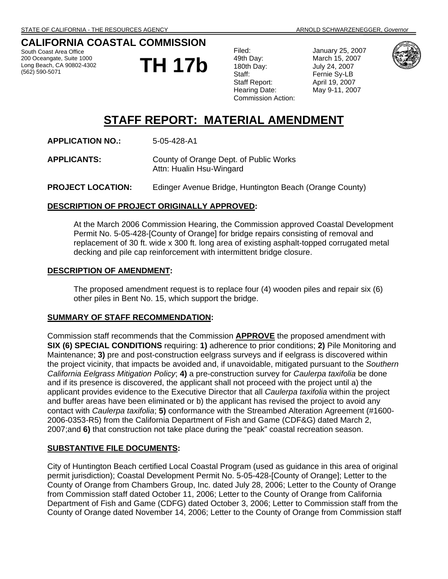## **CALIFORNIA COASTAL COMMISSION**

South Coast Area Office 200 Oceangate, Suite 1000 Long Beach, CA 90802-4302 (562) 590-5071

**TH 17b** 

Filed: January 25, 2007 49th Day: March 15, 2007 180th Day: July 24, 2007 Staff: Fernie Sy-LB Staff Report: April 19, 2007 Hearing Date: May 9-11, 2007 Commission Action:



# **STAFF REPORT: MATERIAL AMENDMENT**

**APPLICATION NO.:** 5-05-428-A1

**APPLICANTS:** County of Orange Dept. of Public Works Attn: Hualin Hsu-Wingard

**PROJECT LOCATION:** Edinger Avenue Bridge, Huntington Beach (Orange County)

### **DESCRIPTION OF PROJECT ORIGINALLY APPROVED:**

At the March 2006 Commission Hearing, the Commission approved Coastal Development Permit No. 5-05-428-[County of Orange] for bridge repairs consisting of removal and replacement of 30 ft. wide x 300 ft. long area of existing asphalt-topped corrugated metal decking and pile cap reinforcement with intermittent bridge closure.

### **DESCRIPTION OF AMENDMENT:**

The proposed amendment request is to replace four (4) wooden piles and repair six (6) other piles in Bent No. 15, which support the bridge.

### **SUMMARY OF STAFF RECOMMENDATION:**

Commission staff recommends that the Commission **APPROVE** the proposed amendment with **SIX (6) SPECIAL CONDITIONS** requiring: **1)** adherence to prior conditions; **2)** Pile Monitoring and Maintenance; **3)** pre and post-construction eelgrass surveys and if eelgrass is discovered within the project vicinity, that impacts be avoided and, if unavoidable, mitigated pursuant to the *Southern California Eelgrass Mitigation Policy*; **4)** a pre-construction survey for *Caulerpa taxifolia* be done and if its presence is discovered, the applicant shall not proceed with the project until a) the applicant provides evidence to the Executive Director that all *Caulerpa taxifolia* within the project and buffer areas have been eliminated or b) the applicant has revised the project to avoid any contact with *Caulerpa taxifolia*; **5)** conformance with the Streambed Alteration Agreement (#1600- 2006-0353-R5) from the California Department of Fish and Game (CDF&G) dated March 2, 2007;and **6)** that construction not take place during the "peak" coastal recreation season.

### **SUBSTANTIVE FILE DOCUMENTS:**

City of Huntington Beach certified Local Coastal Program (used as guidance in this area of original permit jurisdiction); Coastal Development Permit No. 5-05-428-[County of Orange]; Letter to the County of Orange from Chambers Group, Inc. dated July 28, 2006; Letter to the County of Orange from Commission staff dated October 11, 2006; Letter to the County of Orange from California Department of Fish and Game (CDFG) dated October 3, 2006; Letter to Commission staff from the County of Orange dated November 14, 2006; Letter to the County of Orange from Commission staff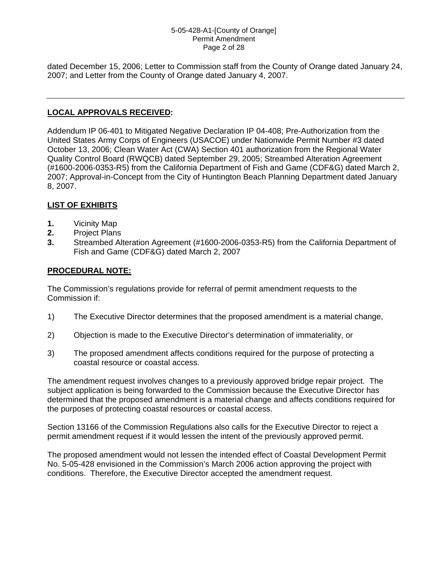#### 5-05-428-A1-[County of Orange] Permit Amendment Page 2 of 28

dated December 15, 2006; Letter to Commission staff from the County of Orange dated January 24, 2007; and Letter from the County of Orange dated January 4, 2007.

## **LOCAL APPROVALS RECEIVED:**

Addendum IP 06-401 to Mitigated Negative Declaration IP 04-408; Pre-Authorization from the United States Army Corps of Engineers (USACOE) under Nationwide Permit Number #3 dated October 13, 2006; Clean Water Act (CWA) Section 401 authorization from the Regional Water Quality Control Board (RWQCB) dated September 29, 2005; Streambed Alteration Agreement (#1600-2006-0353-R5) from the California Department of Fish and Game (CDF&G) dated March 2, 2007; Approval-in-Concept from the City of Huntington Beach Planning Department dated January 8, 2007.

## **LIST OF EXHIBITS**

- **1.** Vicinity Map
- **2.** Project Plans
- **3.** Streambed Alteration Agreement (#1600-2006-0353-R5) from the California Department of Fish and Game (CDF&G) dated March 2, 2007

### **PROCEDURAL NOTE:**

The Commission's regulations provide for referral of permit amendment requests to the Commission if:

- 1) The Executive Director determines that the proposed amendment is a material change,
- 2) Objection is made to the Executive Director's determination of immateriality, or
- 3) The proposed amendment affects conditions required for the purpose of protecting a coastal resource or coastal access.

The amendment request involves changes to a previously approved bridge repair project. The subject application is being forwarded to the Commission because the Executive Director has determined that the proposed amendment is a material change and affects conditions required for the purposes of protecting coastal resources or coastal access.

Section 13166 of the Commission Regulations also calls for the Executive Director to reject a permit amendment request if it would lessen the intent of the previously approved permit.

The proposed amendment would not lessen the intended effect of Coastal Development Permit No. 5-05-428 envisioned in the Commission's March 2006 action approving the project with conditions. Therefore, the Executive Director accepted the amendment request.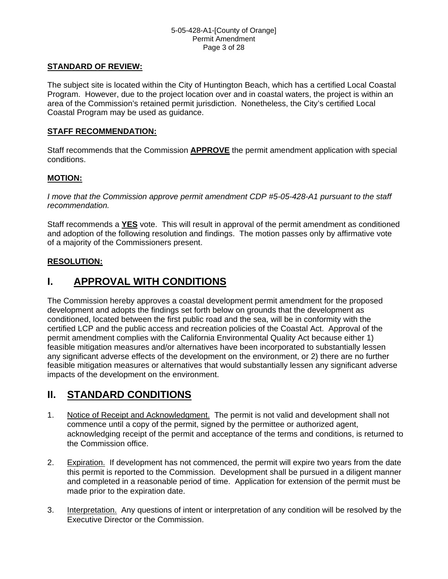### 5-05-428-A1-[County of Orange] Permit Amendment Page 3 of 28

### **STANDARD OF REVIEW:**

The subject site is located within the City of Huntington Beach, which has a certified Local Coastal Program. However, due to the project location over and in coastal waters, the project is within an area of the Commission's retained permit jurisdiction. Nonetheless, the City's certified Local Coastal Program may be used as guidance.

### **STAFF RECOMMENDATION:**

Staff recommends that the Commission **APPROVE** the permit amendment application with special conditions.

## **MOTION:**

*I move that the Commission approve permit amendment CDP #5-05-428-A1 pursuant to the staff recommendation.*

Staff recommends a **YES** vote. This will result in approval of the permit amendment as conditioned and adoption of the following resolution and findings. The motion passes only by affirmative vote of a majority of the Commissioners present.

## **RESOLUTION:**

# **I. APPROVAL WITH CONDITIONS**

The Commission hereby approves a coastal development permit amendment for the proposed development and adopts the findings set forth below on grounds that the development as conditioned, located between the first public road and the sea, will be in conformity with the certified LCP and the public access and recreation policies of the Coastal Act. Approval of the permit amendment complies with the California Environmental Quality Act because either 1) feasible mitigation measures and/or alternatives have been incorporated to substantially lessen any significant adverse effects of the development on the environment, or 2) there are no further feasible mitigation measures or alternatives that would substantially lessen any significant adverse impacts of the development on the environment.

# **II. STANDARD CONDITIONS**

- 1. Notice of Receipt and Acknowledgment. The permit is not valid and development shall not commence until a copy of the permit, signed by the permittee or authorized agent, acknowledging receipt of the permit and acceptance of the terms and conditions, is returned to the Commission office.
- 2. Expiration. If development has not commenced, the permit will expire two years from the date this permit is reported to the Commission. Development shall be pursued in a diligent manner and completed in a reasonable period of time. Application for extension of the permit must be made prior to the expiration date.
- 3. Interpretation. Any questions of intent or interpretation of any condition will be resolved by the Executive Director or the Commission.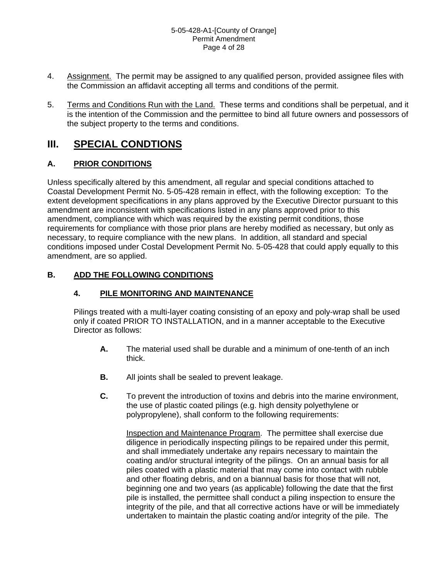- 4. Assignment. The permit may be assigned to any qualified person, provided assignee files with the Commission an affidavit accepting all terms and conditions of the permit.
- 5. Terms and Conditions Run with the Land. These terms and conditions shall be perpetual, and it is the intention of the Commission and the permittee to bind all future owners and possessors of the subject property to the terms and conditions.

# **III. SPECIAL CONDTIONS**

## **A. PRIOR CONDITIONS**

Unless specifically altered by this amendment, all regular and special conditions attached to Coastal Development Permit No. 5-05-428 remain in effect, with the following exception: To the extent development specifications in any plans approved by the Executive Director pursuant to this amendment are inconsistent with specifications listed in any plans approved prior to this amendment, compliance with which was required by the existing permit conditions, those requirements for compliance with those prior plans are hereby modified as necessary, but only as necessary, to require compliance with the new plans. In addition, all standard and special conditions imposed under Costal Development Permit No. 5-05-428 that could apply equally to this amendment, are so applied.

## **B. ADD THE FOLLOWING CONDITIONS**

## **4. PILE MONITORING AND MAINTENANCE**

Pilings treated with a multi-layer coating consisting of an epoxy and poly-wrap shall be used only if coated PRIOR TO INSTALLATION, and in a manner acceptable to the Executive Director as follows:

- **A.** The material used shall be durable and a minimum of one-tenth of an inch thick.
- **B.** All joints shall be sealed to prevent leakage.
- **C.** To prevent the introduction of toxins and debris into the marine environment, the use of plastic coated pilings (e.g. high density polyethylene or polypropylene), shall conform to the following requirements:

Inspection and Maintenance Program. The permittee shall exercise due diligence in periodically inspecting pilings to be repaired under this permit, and shall immediately undertake any repairs necessary to maintain the coating and/or structural integrity of the pilings. On an annual basis for all piles coated with a plastic material that may come into contact with rubble and other floating debris, and on a biannual basis for those that will not, beginning one and two years (as applicable) following the date that the first pile is installed, the permittee shall conduct a piling inspection to ensure the integrity of the pile, and that all corrective actions have or will be immediately undertaken to maintain the plastic coating and/or integrity of the pile. The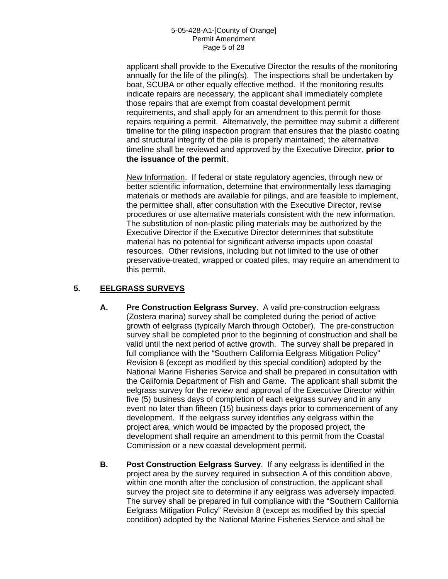### 5-05-428-A1-[County of Orange] Permit Amendment Page 5 of 28

applicant shall provide to the Executive Director the results of the monitoring annually for the life of the piling(s). The inspections shall be undertaken by boat, SCUBA or other equally effective method. If the monitoring results indicate repairs are necessary, the applicant shall immediately complete those repairs that are exempt from coastal development permit requirements, and shall apply for an amendment to this permit for those repairs requiring a permit. Alternatively, the permittee may submit a different timeline for the piling inspection program that ensures that the plastic coating and structural integrity of the pile is properly maintained; the alternative timeline shall be reviewed and approved by the Executive Director, **prior to the issuance of the permit**.

New Information. If federal or state regulatory agencies, through new or better scientific information, determine that environmentally less damaging materials or methods are available for pilings, and are feasible to implement, the permittee shall, after consultation with the Executive Director, revise procedures or use alternative materials consistent with the new information. The substitution of non-plastic piling materials may be authorized by the Executive Director if the Executive Director determines that substitute material has no potential for significant adverse impacts upon coastal resources. Other revisions, including but not limited to the use of other preservative-treated, wrapped or coated piles, may require an amendment to this permit.

## **5. EELGRASS SURVEYS**

- **A. Pre Construction Eelgrass Survey**. A valid pre-construction eelgrass (Zostera marina) survey shall be completed during the period of active growth of eelgrass (typically March through October). The pre-construction survey shall be completed prior to the beginning of construction and shall be valid until the next period of active growth. The survey shall be prepared in full compliance with the "Southern California Eelgrass Mitigation Policy" Revision 8 (except as modified by this special condition) adopted by the National Marine Fisheries Service and shall be prepared in consultation with the California Department of Fish and Game. The applicant shall submit the eelgrass survey for the review and approval of the Executive Director within five (5) business days of completion of each eelgrass survey and in any event no later than fifteen (15) business days prior to commencement of any development. If the eelgrass survey identifies any eelgrass within the project area, which would be impacted by the proposed project, the development shall require an amendment to this permit from the Coastal Commission or a new coastal development permit.
- **B. Post Construction Eelgrass Survey**. If any eelgrass is identified in the project area by the survey required in subsection A of this condition above, within one month after the conclusion of construction, the applicant shall survey the project site to determine if any eelgrass was adversely impacted. The survey shall be prepared in full compliance with the "Southern California Eelgrass Mitigation Policy" Revision 8 (except as modified by this special condition) adopted by the National Marine Fisheries Service and shall be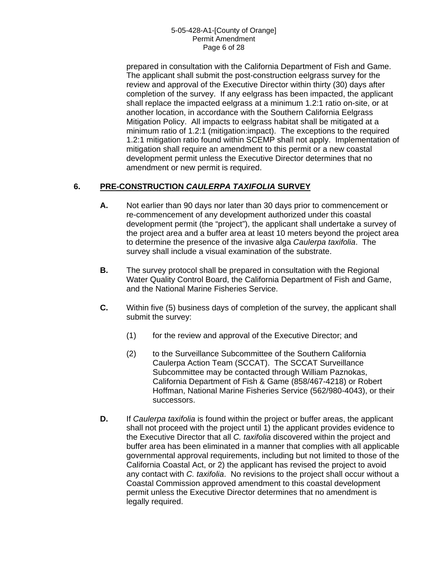### 5-05-428-A1-[County of Orange] Permit Amendment Page 6 of 28

prepared in consultation with the California Department of Fish and Game. The applicant shall submit the post-construction eelgrass survey for the review and approval of the Executive Director within thirty (30) days after completion of the survey. If any eelgrass has been impacted, the applicant shall replace the impacted eelgrass at a minimum 1.2:1 ratio on-site, or at another location, in accordance with the Southern California Eelgrass Mitigation Policy. All impacts to eelgrass habitat shall be mitigated at a minimum ratio of 1.2:1 (mitigation:impact). The exceptions to the required 1.2:1 mitigation ratio found within SCEMP shall not apply. Implementation of mitigation shall require an amendment to this permit or a new coastal development permit unless the Executive Director determines that no amendment or new permit is required.

## **6. PRE-CONSTRUCTION** *CAULERPA TAXIFOLIA* **SURVEY**

- **A.** Not earlier than 90 days nor later than 30 days prior to commencement or re-commencement of any development authorized under this coastal development permit (the "project"), the applicant shall undertake a survey of the project area and a buffer area at least 10 meters beyond the project area to determine the presence of the invasive alga *Caulerpa taxifolia*. The survey shall include a visual examination of the substrate.
- **B.** The survey protocol shall be prepared in consultation with the Regional Water Quality Control Board, the California Department of Fish and Game, and the National Marine Fisheries Service.
- **C.** Within five (5) business days of completion of the survey, the applicant shall submit the survey:
	- (1) for the review and approval of the Executive Director; and
	- (2) to the Surveillance Subcommittee of the Southern California Caulerpa Action Team (SCCAT). The SCCAT Surveillance Subcommittee may be contacted through William Paznokas, California Department of Fish & Game (858/467-4218) or Robert Hoffman, National Marine Fisheries Service (562/980-4043), or their successors.
- **D.** If *Caulerpa taxifolia* is found within the project or buffer areas, the applicant shall not proceed with the project until 1) the applicant provides evidence to the Executive Director that all *C. taxifolia* discovered within the project and buffer area has been eliminated in a manner that complies with all applicable governmental approval requirements, including but not limited to those of the California Coastal Act, or 2) the applicant has revised the project to avoid any contact with *C. taxifolia*. No revisions to the project shall occur without a Coastal Commission approved amendment to this coastal development permit unless the Executive Director determines that no amendment is legally required.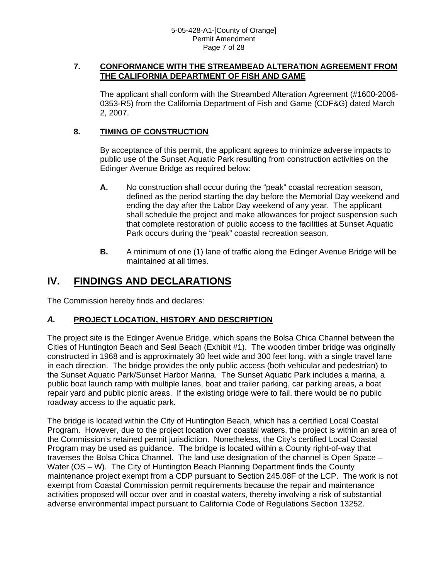### **7. CONFORMANCE WITH THE STREAMBEAD ALTERATION AGREEMENT FROM THE CALIFORNIA DEPARTMENT OF FISH AND GAME**

The applicant shall conform with the Streambed Alteration Agreement (#1600-2006- 0353-R5) from the California Department of Fish and Game (CDF&G) dated March 2, 2007.

## **8. TIMING OF CONSTRUCTION**

By acceptance of this permit, the applicant agrees to minimize adverse impacts to public use of the Sunset Aquatic Park resulting from construction activities on the Edinger Avenue Bridge as required below:

- **A.** No construction shall occur during the "peak" coastal recreation season, defined as the period starting the day before the Memorial Day weekend and ending the day after the Labor Day weekend of any year. The applicant shall schedule the project and make allowances for project suspension such that complete restoration of public access to the facilities at Sunset Aquatic Park occurs during the "peak" coastal recreation season.
- **B.** A minimum of one (1) lane of traffic along the Edinger Avenue Bridge will be maintained at all times.

# **IV. FINDINGS AND DECLARATIONS**

The Commission hereby finds and declares:

## *A.* **PROJECT LOCATION, HISTORY AND DESCRIPTION**

The project site is the Edinger Avenue Bridge, which spans the Bolsa Chica Channel between the Cities of Huntington Beach and Seal Beach (Exhibit #1). The wooden timber bridge was originally constructed in 1968 and is approximately 30 feet wide and 300 feet long, with a single travel lane in each direction. The bridge provides the only public access (both vehicular and pedestrian) to the Sunset Aquatic Park/Sunset Harbor Marina. The Sunset Aquatic Park includes a marina, a public boat launch ramp with multiple lanes, boat and trailer parking, car parking areas, a boat repair yard and public picnic areas. If the existing bridge were to fail, there would be no public roadway access to the aquatic park.

The bridge is located within the City of Huntington Beach, which has a certified Local Coastal Program. However, due to the project location over coastal waters, the project is within an area of the Commission's retained permit jurisdiction. Nonetheless, the City's certified Local Coastal Program may be used as guidance. The bridge is located within a County right-of-way that traverses the Bolsa Chica Channel. The land use designation of the channel is Open Space – Water (OS – W). The City of Huntington Beach Planning Department finds the County maintenance project exempt from a CDP pursuant to Section 245.08F of the LCP. The work is not exempt from Coastal Commission permit requirements because the repair and maintenance activities proposed will occur over and in coastal waters, thereby involving a risk of substantial adverse environmental impact pursuant to California Code of Regulations Section 13252.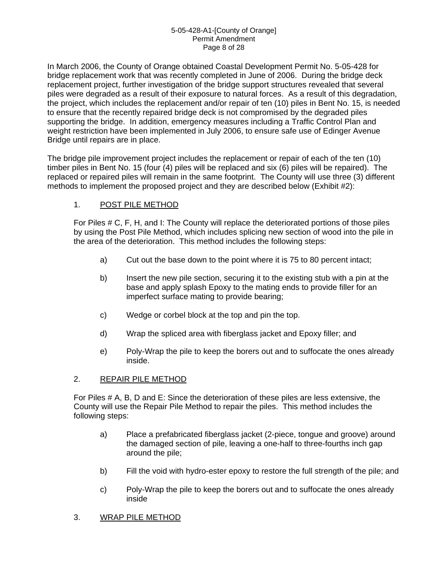### 5-05-428-A1-[County of Orange] Permit Amendment Page 8 of 28

In March 2006, the County of Orange obtained Coastal Development Permit No. 5-05-428 for bridge replacement work that was recently completed in June of 2006. During the bridge deck replacement project, further investigation of the bridge support structures revealed that several piles were degraded as a result of their exposure to natural forces. As a result of this degradation, the project, which includes the replacement and/or repair of ten (10) piles in Bent No. 15, is needed to ensure that the recently repaired bridge deck is not compromised by the degraded piles supporting the bridge. In addition, emergency measures including a Traffic Control Plan and weight restriction have been implemented in July 2006, to ensure safe use of Edinger Avenue Bridge until repairs are in place.

The bridge pile improvement project includes the replacement or repair of each of the ten (10) timber piles in Bent No. 15 (four (4) piles will be replaced and six (6) piles will be repaired). The replaced or repaired piles will remain in the same footprint. The County will use three (3) different methods to implement the proposed project and they are described below (Exhibit #2):

## 1. POST PILE METHOD

For Piles # C, F, H, and I: The County will replace the deteriorated portions of those piles by using the Post Pile Method, which includes splicing new section of wood into the pile in the area of the deterioration. This method includes the following steps:

- a) Cut out the base down to the point where it is 75 to 80 percent intact;
- b) Insert the new pile section, securing it to the existing stub with a pin at the base and apply splash Epoxy to the mating ends to provide filler for an imperfect surface mating to provide bearing;
- c) Wedge or corbel block at the top and pin the top.
- d) Wrap the spliced area with fiberglass jacket and Epoxy filler; and
- e) Poly-Wrap the pile to keep the borers out and to suffocate the ones already inside.

### 2. REPAIR PILE METHOD

For Piles # A, B, D and E: Since the deterioration of these piles are less extensive, the County will use the Repair Pile Method to repair the piles. This method includes the following steps:

- a) Place a prefabricated fiberglass jacket (2-piece, tongue and groove) around the damaged section of pile, leaving a one-half to three-fourths inch gap around the pile;
- b) Fill the void with hydro-ester epoxy to restore the full strength of the pile; and
- c) Poly-Wrap the pile to keep the borers out and to suffocate the ones already inside
- 3. WRAP PILE METHOD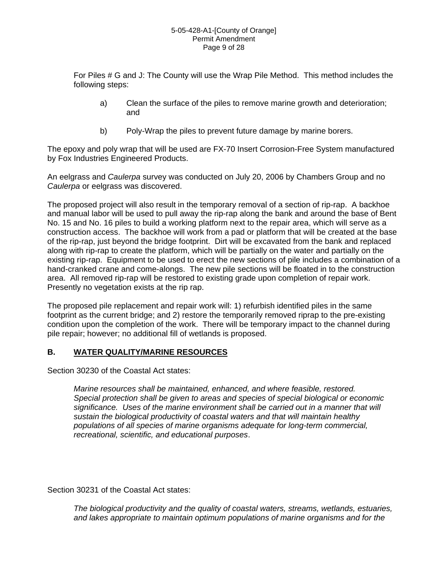#### 5-05-428-A1-[County of Orange] Permit Amendment Page 9 of 28

For Piles # G and J: The County will use the Wrap Pile Method. This method includes the following steps:

- a) Clean the surface of the piles to remove marine growth and deterioration; and
- b) Poly-Wrap the piles to prevent future damage by marine borers.

The epoxy and poly wrap that will be used are FX-70 Insert Corrosion-Free System manufactured by Fox Industries Engineered Products.

An eelgrass and *Caulerpa* survey was conducted on July 20, 2006 by Chambers Group and no *Caulerpa* or eelgrass was discovered.

The proposed project will also result in the temporary removal of a section of rip-rap. A backhoe and manual labor will be used to pull away the rip-rap along the bank and around the base of Bent No. 15 and No. 16 piles to build a working platform next to the repair area, which will serve as a construction access. The backhoe will work from a pad or platform that will be created at the base of the rip-rap, just beyond the bridge footprint. Dirt will be excavated from the bank and replaced along with rip-rap to create the platform, which will be partially on the water and partially on the existing rip-rap. Equipment to be used to erect the new sections of pile includes a combination of a hand-cranked crane and come-alongs. The new pile sections will be floated in to the construction area. All removed rip-rap will be restored to existing grade upon completion of repair work. Presently no vegetation exists at the rip rap.

The proposed pile replacement and repair work will: 1) refurbish identified piles in the same footprint as the current bridge; and 2) restore the temporarily removed riprap to the pre-existing condition upon the completion of the work. There will be temporary impact to the channel during pile repair; however; no additional fill of wetlands is proposed.

## **B. WATER QUALITY/MARINE RESOURCES**

Section 30230 of the Coastal Act states:

*Marine resources shall be maintained, enhanced, and where feasible, restored. Special protection shall be given to areas and species of special biological or economic significance. Uses of the marine environment shall be carried out in a manner that will sustain the biological productivity of coastal waters and that will maintain healthy populations of all species of marine organisms adequate for long-term commercial, recreational, scientific, and educational purposes*.

Section 30231 of the Coastal Act states:

*The biological productivity and the quality of coastal waters, streams, wetlands, estuaries, and lakes appropriate to maintain optimum populations of marine organisms and for the*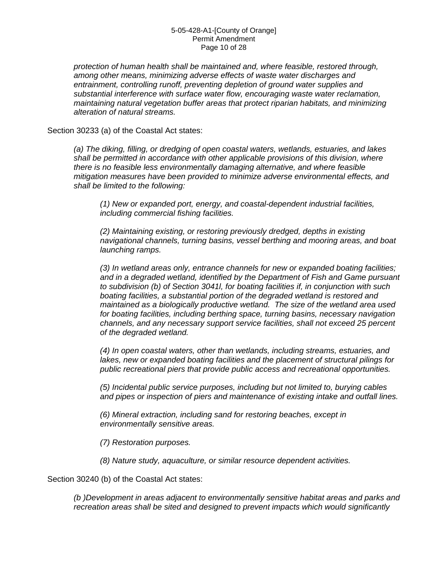#### 5-05-428-A1-[County of Orange] Permit Amendment Page 10 of 28

*protection of human health shall be maintained and, where feasible, restored through, among other means, minimizing adverse effects of waste water discharges and entrainment, controlling runoff, preventing depletion of ground water supplies and substantial interference with surface water flow, encouraging waste water reclamation, maintaining natural vegetation buffer areas that protect riparian habitats, and minimizing alteration of natural streams.* 

Section 30233 (a) of the Coastal Act states:

*(a) The diking, filling, or dredging of open coastal waters, wetlands, estuaries, and lakes shall be permitted in accordance with other applicable provisions of this division, where there is no feasible less environmentally damaging alternative, and where feasible mitigation measures have been provided to minimize adverse environmental effects, and shall be limited to the following:* 

*(1) New or expanded port, energy, and coastal-dependent industrial facilities, including commercial fishing facilities.* 

*(2) Maintaining existing, or restoring previously dredged, depths in existing navigational channels, turning basins, vessel berthing and mooring areas, and boat launching ramps.* 

*(3) In wetland areas only, entrance channels for new or expanded boating facilities; and in a degraded wetland, identified by the Department of Fish and Game pursuant to subdivision (b) of Section 3041l, for boating facilities if, in conjunction with such boating facilities, a substantial portion of the degraded wetland is restored and maintained as a biologically productive wetland. The size of the wetland area used for boating facilities, including berthing space, turning basins, necessary navigation channels, and any necessary support service facilities, shall not exceed 25 percent of the degraded wetland.* 

*(4) In open coastal waters, other than wetlands, including streams, estuaries, and lakes, new or expanded boating facilities and the placement of structural pilings for public recreational piers that provide public access and recreational opportunities.* 

*(5) Incidental public service purposes, including but not limited to, burying cables and pipes or inspection of piers and maintenance of existing intake and outfall lines.* 

*(6) Mineral extraction, including sand for restoring beaches, except in environmentally sensitive areas.* 

*(7) Restoration purposes.* 

*(8) Nature study, aquaculture, or similar resource dependent activities.* 

Section 30240 (b) of the Coastal Act states:

*(b )Development in areas adjacent to environmentally sensitive habitat areas and parks and recreation areas shall be sited and designed to prevent impacts which would significantly*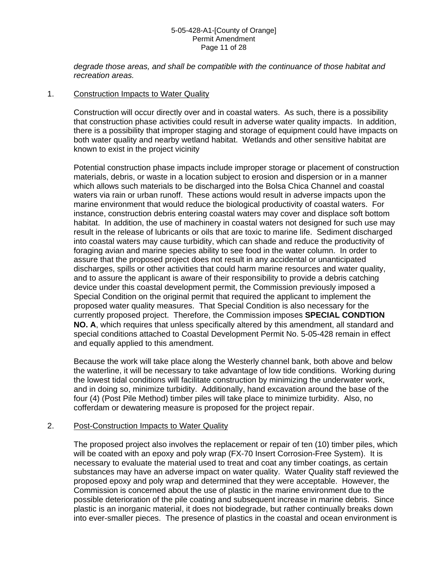#### 5-05-428-A1-[County of Orange] Permit Amendment Page 11 of 28

*degrade those areas, and shall be compatible with the continuance of those habitat and recreation areas.* 

### 1. Construction Impacts to Water Quality

Construction will occur directly over and in coastal waters. As such, there is a possibility that construction phase activities could result in adverse water quality impacts. In addition, there is a possibility that improper staging and storage of equipment could have impacts on both water quality and nearby wetland habitat. Wetlands and other sensitive habitat are known to exist in the project vicinity

Potential construction phase impacts include improper storage or placement of construction materials, debris, or waste in a location subject to erosion and dispersion or in a manner which allows such materials to be discharged into the Bolsa Chica Channel and coastal waters via rain or urban runoff. These actions would result in adverse impacts upon the marine environment that would reduce the biological productivity of coastal waters. For instance, construction debris entering coastal waters may cover and displace soft bottom habitat. In addition, the use of machinery in coastal waters not designed for such use may result in the release of lubricants or oils that are toxic to marine life. Sediment discharged into coastal waters may cause turbidity, which can shade and reduce the productivity of foraging avian and marine species ability to see food in the water column. In order to assure that the proposed project does not result in any accidental or unanticipated discharges, spills or other activities that could harm marine resources and water quality, and to assure the applicant is aware of their responsibility to provide a debris catching device under this coastal development permit, the Commission previously imposed a Special Condition on the original permit that required the applicant to implement the proposed water quality measures. That Special Condition is also necessary for the currently proposed project. Therefore, the Commission imposes **SPECIAL CONDTION NO. A**, which requires that unless specifically altered by this amendment, all standard and special conditions attached to Coastal Development Permit No. 5-05-428 remain in effect and equally applied to this amendment.

Because the work will take place along the Westerly channel bank, both above and below the waterline, it will be necessary to take advantage of low tide conditions. Working during the lowest tidal conditions will facilitate construction by minimizing the underwater work, and in doing so, minimize turbidity. Additionally, hand excavation around the base of the four (4) (Post Pile Method) timber piles will take place to minimize turbidity. Also, no cofferdam or dewatering measure is proposed for the project repair.

### 2. Post-Construction Impacts to Water Quality

The proposed project also involves the replacement or repair of ten (10) timber piles, which will be coated with an epoxy and poly wrap (FX-70 Insert Corrosion-Free System). It is necessary to evaluate the material used to treat and coat any timber coatings, as certain substances may have an adverse impact on water quality. Water Quality staff reviewed the proposed epoxy and poly wrap and determined that they were acceptable. However, the Commission is concerned about the use of plastic in the marine environment due to the possible deterioration of the pile coating and subsequent increase in marine debris. Since plastic is an inorganic material, it does not biodegrade, but rather continually breaks down into ever-smaller pieces. The presence of plastics in the coastal and ocean environment is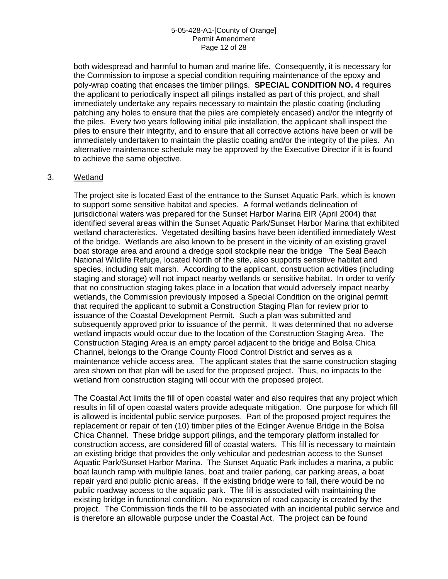### 5-05-428-A1-[County of Orange] Permit Amendment Page 12 of 28

both widespread and harmful to human and marine life. Consequently, it is necessary for the Commission to impose a special condition requiring maintenance of the epoxy and poly-wrap coating that encases the timber pilings. **SPECIAL CONDITION NO. 4** requires the applicant to periodically inspect all pilings installed as part of this project, and shall immediately undertake any repairs necessary to maintain the plastic coating (including patching any holes to ensure that the piles are completely encased) and/or the integrity of the piles. Every two years following initial pile installation, the applicant shall inspect the piles to ensure their integrity, and to ensure that all corrective actions have been or will be immediately undertaken to maintain the plastic coating and/or the integrity of the piles. An alternative maintenance schedule may be approved by the Executive Director if it is found to achieve the same objective.

### 3. Wetland

The project site is located East of the entrance to the Sunset Aquatic Park, which is known to support some sensitive habitat and species. A formal wetlands delineation of iurisdictional waters was prepared for the Sunset Harbor Marina EIR (April 2004) that identified several areas within the Sunset Aquatic Park/Sunset Harbor Marina that exhibited wetland characteristics. Vegetated desilting basins have been identified immediately West of the bridge. Wetlands are also known to be present in the vicinity of an existing gravel boat storage area and around a dredge spoil stockpile near the bridge The Seal Beach National Wildlife Refuge, located North of the site, also supports sensitive habitat and species, including salt marsh. According to the applicant, construction activities (including staging and storage) will not impact nearby wetlands or sensitive habitat. In order to verify that no construction staging takes place in a location that would adversely impact nearby wetlands, the Commission previously imposed a Special Condition on the original permit that required the applicant to submit a Construction Staging Plan for review prior to issuance of the Coastal Development Permit. Such a plan was submitted and subsequently approved prior to issuance of the permit. It was determined that no adverse wetland impacts would occur due to the location of the Construction Staging Area. The Construction Staging Area is an empty parcel adjacent to the bridge and Bolsa Chica Channel, belongs to the Orange County Flood Control District and serves as a maintenance vehicle access area. The applicant states that the same construction staging area shown on that plan will be used for the proposed project. Thus, no impacts to the wetland from construction staging will occur with the proposed project.

The Coastal Act limits the fill of open coastal water and also requires that any project which results in fill of open coastal waters provide adequate mitigation. One purpose for which fill is allowed is incidental public service purposes. Part of the proposed project requires the replacement or repair of ten (10) timber piles of the Edinger Avenue Bridge in the Bolsa Chica Channel. These bridge support pilings, and the temporary platform installed for construction access, are considered fill of coastal waters. This fill is necessary to maintain an existing bridge that provides the only vehicular and pedestrian access to the Sunset Aquatic Park/Sunset Harbor Marina. The Sunset Aquatic Park includes a marina, a public boat launch ramp with multiple lanes, boat and trailer parking, car parking areas, a boat repair yard and public picnic areas. If the existing bridge were to fail, there would be no public roadway access to the aquatic park. The fill is associated with maintaining the existing bridge in functional condition. No expansion of road capacity is created by the project. The Commission finds the fill to be associated with an incidental public service and is therefore an allowable purpose under the Coastal Act. The project can be found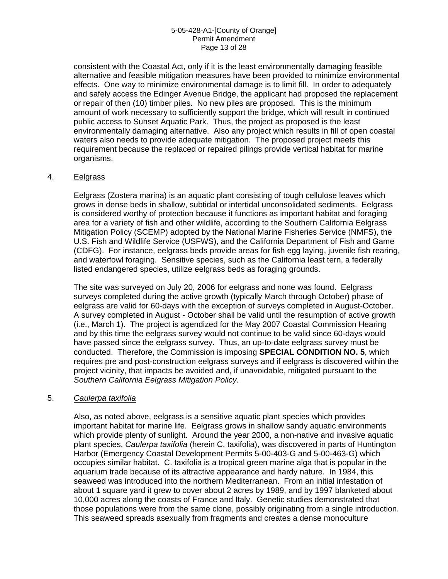### 5-05-428-A1-[County of Orange] Permit Amendment Page 13 of 28

consistent with the Coastal Act, only if it is the least environmentally damaging feasible alternative and feasible mitigation measures have been provided to minimize environmental effects. One way to minimize environmental damage is to limit fill. In order to adequately and safely access the Edinger Avenue Bridge, the applicant had proposed the replacement or repair of then (10) timber piles. No new piles are proposed. This is the minimum amount of work necessary to sufficiently support the bridge, which will result in continued public access to Sunset Aquatic Park. Thus, the project as proposed is the least environmentally damaging alternative. Also any project which results in fill of open coastal waters also needs to provide adequate mitigation. The proposed project meets this requirement because the replaced or repaired pilings provide vertical habitat for marine organisms.

### 4. Eelgrass

Eelgrass (Zostera marina) is an aquatic plant consisting of tough cellulose leaves which grows in dense beds in shallow, subtidal or intertidal unconsolidated sediments. Eelgrass is considered worthy of protection because it functions as important habitat and foraging area for a variety of fish and other wildlife, according to the Southern California Eelgrass Mitigation Policy (SCEMP) adopted by the National Marine Fisheries Service (NMFS), the U.S. Fish and Wildlife Service (USFWS), and the California Department of Fish and Game (CDFG). For instance, eelgrass beds provide areas for fish egg laying, juvenile fish rearing, and waterfowl foraging. Sensitive species, such as the California least tern, a federally listed endangered species, utilize eelgrass beds as foraging grounds.

The site was surveyed on July 20, 2006 for eelgrass and none was found. Eelgrass surveys completed during the active growth (typically March through October) phase of eelgrass are valid for 60-days with the exception of surveys completed in August-October. A survey completed in August - October shall be valid until the resumption of active growth (i.e., March 1). The project is agendized for the May 2007 Coastal Commission Hearing and by this time the eelgrass survey would not continue to be valid since 60-days would have passed since the eelgrass survey. Thus, an up-to-date eelgrass survey must be conducted. Therefore, the Commission is imposing **SPECIAL CONDITION NO. 5**, which requires pre and post-construction eelgrass surveys and if eelgrass is discovered within the project vicinity, that impacts be avoided and, if unavoidable, mitigated pursuant to the *Southern California Eelgrass Mitigation Policy*.

### 5. *Caulerpa taxifolia*

Also, as noted above, eelgrass is a sensitive aquatic plant species which provides important habitat for marine life. Eelgrass grows in shallow sandy aquatic environments which provide plenty of sunlight. Around the year 2000, a non-native and invasive aquatic plant species, *Caulerpa taxifolia* (herein C. taxifolia), was discovered in parts of Huntington Harbor (Emergency Coastal Development Permits 5-00-403-G and 5-00-463-G) which occupies similar habitat. C. taxifolia is a tropical green marine alga that is popular in the aquarium trade because of its attractive appearance and hardy nature. In 1984, this seaweed was introduced into the northern Mediterranean. From an initial infestation of about 1 square yard it grew to cover about 2 acres by 1989, and by 1997 blanketed about 10,000 acres along the coasts of France and Italy. Genetic studies demonstrated that those populations were from the same clone, possibly originating from a single introduction. This seaweed spreads asexually from fragments and creates a dense monoculture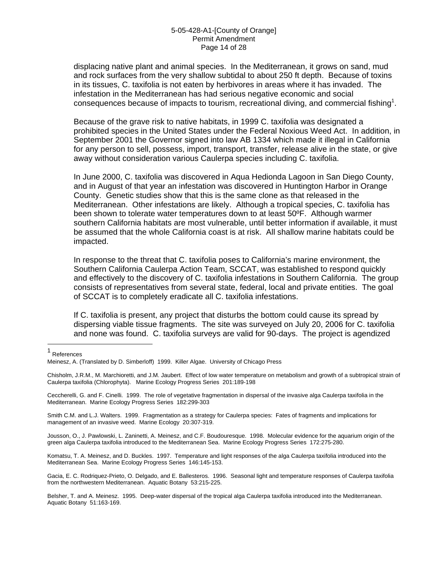#### 5-05-428-A1-[County of Orange] Permit Amendment Page 14 of 28

displacing native plant and animal species. In the Mediterranean, it grows on sand, mud and rock surfaces from the very shallow subtidal to about 250 ft depth. Because of toxins in its tissues, C. taxifolia is not eaten by herbivores in areas where it has invaded. The infestation in the Mediterranean has had serious negative economic and social consequences because of impacts to tourism, recreational diving, and commercial fishing<sup>[1](#page-13-0)</sup>.

Because of the grave risk to native habitats, in 1999 C. taxifolia was designated a prohibited species in the United States under the Federal Noxious Weed Act. In addition, in September 2001 the Governor signed into law AB 1334 which made it illegal in California for any person to sell, possess, import, transport, transfer, release alive in the state, or give away without consideration various Caulerpa species including C. taxifolia.

In June 2000, C. taxifolia was discovered in Aqua Hedionda Lagoon in San Diego County, and in August of that year an infestation was discovered in Huntington Harbor in Orange County. Genetic studies show that this is the same clone as that released in the Mediterranean. Other infestations are likely. Although a tropical species, C. taxifolia has been shown to tolerate water temperatures down to at least 50ºF. Although warmer southern California habitats are most vulnerable, until better information if available, it must be assumed that the whole California coast is at risk. All shallow marine habitats could be impacted.

In response to the threat that C. taxifolia poses to California's marine environment, the Southern California Caulerpa Action Team, SCCAT, was established to respond quickly and effectively to the discovery of C. taxifolia infestations in Southern California. The group consists of representatives from several state, federal, local and private entities. The goal of SCCAT is to completely eradicate all C. taxifolia infestations.

If C. taxifolia is present, any project that disturbs the bottom could cause its spread by dispersing viable tissue fragments. The site was surveyed on July 20, 2006 for C. taxifolia and none was found. C. taxifolia surveys are valid for 90-days. The project is agendized

 $\overline{a}$ 

Ceccherelli, G. and F. Cinelli. 1999. The role of vegetative fragmentation in dispersal of the invasive alga Caulerpa taxifolia in the Mediterranean. Marine Ecology Progress Series 182:299-303

Smith C.M. and L.J. Walters. 1999. Fragmentation as a strategy for Caulerpa species: Fates of fragments and implications for management of an invasive weed. Marine Ecology 20:307-319.

Jousson, O., J. Pawlowski, L. Zaninetti, A. Meinesz, and C.F. Boudouresque. 1998. Molecular evidence for the aquarium origin of the green alga Caulerpa taxifolia introduced to the Mediterranean Sea. Marine Ecology Progress Series 172:275-280.

Komatsu, T. A. Meinesz, and D. Buckles. 1997. Temperature and light responses of the alga Caulerpa taxifolia introduced into the Mediterranean Sea. Marine Ecology Progress Series 146:145-153.

Gacia, E. C. Rodriquez-Prieto, O. Delgado, and E. Ballesteros. 1996. Seasonal light and temperature responses of Caulerpa taxifolia from the northwestern Mediterranean. Aquatic Botany 53:215-225.

Belsher, T. and A. Meinesz. 1995. Deep-water dispersal of the tropical alga Caulerpa taxifolia introduced into the Mediterranean. Aquatic Botany 51:163-169.

<span id="page-13-0"></span><sup>1</sup> References

Meinesz, A. (Translated by D. Simberloff) 1999. Killer Algae. University of Chicago Press

Chisholm, J.R.M., M. Marchioretti, and J.M. Jaubert. Effect of low water temperature on metabolism and growth of a subtropical strain of Caulerpa taxifolia (Chlorophyta). Marine Ecology Progress Series 201:189-198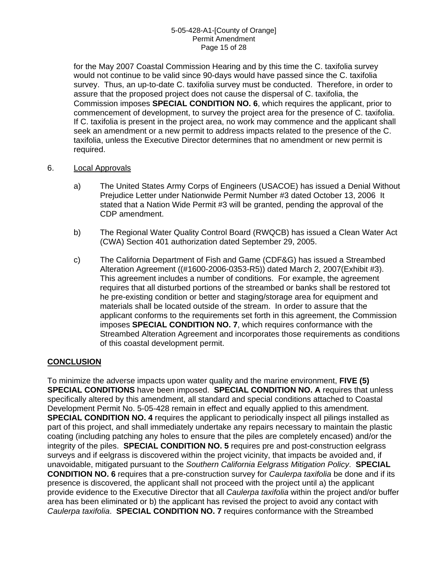### 5-05-428-A1-[County of Orange] Permit Amendment Page 15 of 28

for the May 2007 Coastal Commission Hearing and by this time the C. taxifolia survey would not continue to be valid since 90-days would have passed since the C. taxifolia survey. Thus, an up-to-date C. taxifolia survey must be conducted. Therefore, in order to assure that the proposed project does not cause the dispersal of C. taxifolia, the Commission imposes **SPECIAL CONDITION NO. 6**, which requires the applicant, prior to commencement of development, to survey the project area for the presence of C. taxifolia. If C. taxifolia is present in the project area, no work may commence and the applicant shall seek an amendment or a new permit to address impacts related to the presence of the C. taxifolia, unless the Executive Director determines that no amendment or new permit is required.

### 6. Local Approvals

- a) The United States Army Corps of Engineers (USACOE) has issued a Denial Without Prejudice Letter under Nationwide Permit Number #3 dated October 13, 2006 It stated that a Nation Wide Permit #3 will be granted, pending the approval of the CDP amendment.
- b) The Regional Water Quality Control Board (RWQCB) has issued a Clean Water Act (CWA) Section 401 authorization dated September 29, 2005.
- c) The California Department of Fish and Game (CDF&G) has issued a Streambed Alteration Agreement ((#1600-2006-0353-R5)) dated March 2, 2007(Exhibit #3). This agreement includes a number of conditions. For example, the agreement requires that all disturbed portions of the streambed or banks shall be restored tot he pre-existing condition or better and staging/storage area for equipment and materials shall be located outside of the stream. In order to assure that the applicant conforms to the requirements set forth in this agreement, the Commission imposes **SPECIAL CONDITION NO. 7**, which requires conformance with the Streambed Alteration Agreement and incorporates those requirements as conditions of this coastal development permit.

### **CONCLUSION**

To minimize the adverse impacts upon water quality and the marine environment, **FIVE (5) SPECIAL CONDITIONS** have been imposed. **SPECIAL CONDITION NO. A** requires that unless specifically altered by this amendment, all standard and special conditions attached to Coastal Development Permit No. 5-05-428 remain in effect and equally applied to this amendment. **SPECIAL CONDITION NO. 4** requires the applicant to periodically inspect all pilings installed as part of this project, and shall immediately undertake any repairs necessary to maintain the plastic coating (including patching any holes to ensure that the piles are completely encased) and/or the integrity of the piles. **SPECIAL CONDITION NO. 5** requires pre and post-construction eelgrass surveys and if eelgrass is discovered within the project vicinity, that impacts be avoided and, if unavoidable, mitigated pursuant to the *Southern California Eelgrass Mitigation Policy*. **SPECIAL CONDITION NO. 6** requires that a pre-construction survey for *Caulerpa taxifolia* be done and if its presence is discovered, the applicant shall not proceed with the project until a) the applicant provide evidence to the Executive Director that all *Caulerpa taxifolia* within the project and/or buffer area has been eliminated or b) the applicant has revised the project to avoid any contact with *Caulerpa taxifolia*. **SPECIAL CONDITION NO. 7** requires conformance with the Streambed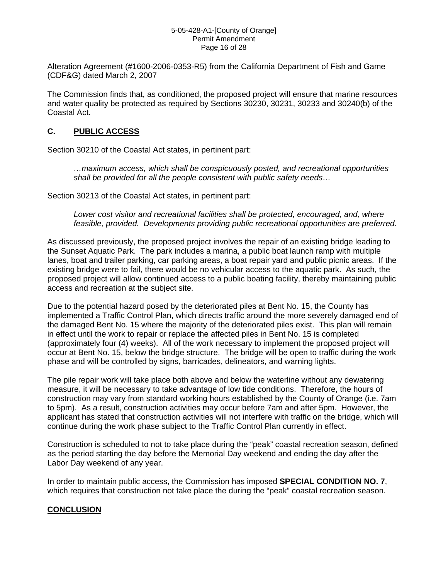#### 5-05-428-A1-[County of Orange] Permit Amendment Page 16 of 28

Alteration Agreement (#1600-2006-0353-R5) from the California Department of Fish and Game (CDF&G) dated March 2, 2007

The Commission finds that, as conditioned, the proposed project will ensure that marine resources and water quality be protected as required by Sections 30230, 30231, 30233 and 30240(b) of the Coastal Act.

## **C. PUBLIC ACCESS**

Section 30210 of the Coastal Act states, in pertinent part:

*…maximum access, which shall be conspicuously posted, and recreational opportunities shall be provided for all the people consistent with public safety needs…* 

Section 30213 of the Coastal Act states, in pertinent part:

*Lower cost visitor and recreational facilities shall be protected, encouraged, and, where feasible, provided. Developments providing public recreational opportunities are preferred.* 

As discussed previously, the proposed project involves the repair of an existing bridge leading to the Sunset Aquatic Park. The park includes a marina, a public boat launch ramp with multiple lanes, boat and trailer parking, car parking areas, a boat repair yard and public picnic areas. If the existing bridge were to fail, there would be no vehicular access to the aquatic park. As such, the proposed project will allow continued access to a public boating facility, thereby maintaining public access and recreation at the subject site.

Due to the potential hazard posed by the deteriorated piles at Bent No. 15, the County has implemented a Traffic Control Plan, which directs traffic around the more severely damaged end of the damaged Bent No. 15 where the majority of the deteriorated piles exist. This plan will remain in effect until the work to repair or replace the affected piles in Bent No. 15 is completed (approximately four (4) weeks). All of the work necessary to implement the proposed project will occur at Bent No. 15, below the bridge structure. The bridge will be open to traffic during the work phase and will be controlled by signs, barricades, delineators, and warning lights.

The pile repair work will take place both above and below the waterline without any dewatering measure, it will be necessary to take advantage of low tide conditions. Therefore, the hours of construction may vary from standard working hours established by the County of Orange (i.e. 7am to 5pm). As a result, construction activities may occur before 7am and after 5pm. However, the applicant has stated that construction activities will not interfere with traffic on the bridge, which will continue during the work phase subject to the Traffic Control Plan currently in effect.

Construction is scheduled to not to take place during the "peak" coastal recreation season, defined as the period starting the day before the Memorial Day weekend and ending the day after the Labor Day weekend of any year.

In order to maintain public access, the Commission has imposed **SPECIAL CONDITION NO. 7**, which requires that construction not take place the during the "peak" coastal recreation season.

### **CONCLUSION**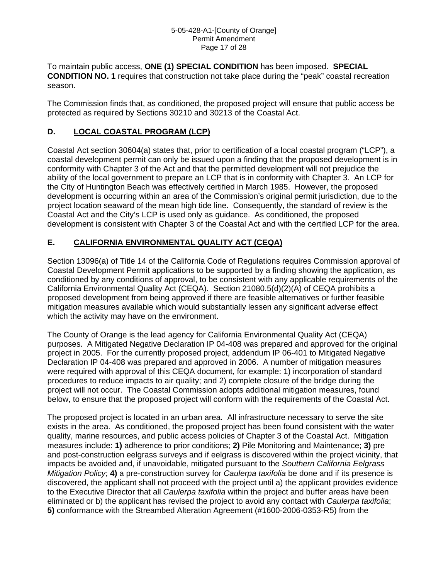To maintain public access, **ONE (1) SPECIAL CONDITION** has been imposed. **SPECIAL CONDITION NO. 1** requires that construction not take place during the "peak" coastal recreation season.

The Commission finds that, as conditioned, the proposed project will ensure that public access be protected as required by Sections 30210 and 30213 of the Coastal Act.

## **D. LOCAL COASTAL PROGRAM (LCP)**

Coastal Act section 30604(a) states that, prior to certification of a local coastal program ("LCP"), a coastal development permit can only be issued upon a finding that the proposed development is in conformity with Chapter 3 of the Act and that the permitted development will not prejudice the ability of the local government to prepare an LCP that is in conformity with Chapter 3. An LCP for the City of Huntington Beach was effectively certified in March 1985. However, the proposed development is occurring within an area of the Commission's original permit jurisdiction, due to the project location seaward of the mean high tide line. Consequently, the standard of review is the Coastal Act and the City's LCP is used only as guidance. As conditioned, the proposed development is consistent with Chapter 3 of the Coastal Act and with the certified LCP for the area.

## **E. CALIFORNIA ENVIRONMENTAL QUALITY ACT (CEQA)**

Section 13096(a) of Title 14 of the California Code of Regulations requires Commission approval of Coastal Development Permit applications to be supported by a finding showing the application, as conditioned by any conditions of approval, to be consistent with any applicable requirements of the California Environmental Quality Act (CEQA). Section 21080.5(d)(2)(A) of CEQA prohibits a proposed development from being approved if there are feasible alternatives or further feasible mitigation measures available which would substantially lessen any significant adverse effect which the activity may have on the environment.

The County of Orange is the lead agency for California Environmental Quality Act (CEQA) purposes. A Mitigated Negative Declaration IP 04-408 was prepared and approved for the original project in 2005. For the currently proposed project, addendum IP 06-401 to Mitigated Negative Declaration IP 04-408 was prepared and approved in 2006. A number of mitigation measures were required with approval of this CEQA document, for example: 1) incorporation of standard procedures to reduce impacts to air quality; and 2) complete closure of the bridge during the project will not occur. The Coastal Commission adopts additional mitigation measures, found below, to ensure that the proposed project will conform with the requirements of the Coastal Act.

The proposed project is located in an urban area. All infrastructure necessary to serve the site exists in the area. As conditioned, the proposed project has been found consistent with the water quality, marine resources, and public access policies of Chapter 3 of the Coastal Act. Mitigation measures include: **1)** adherence to prior conditions; **2)** Pile Monitoring and Maintenance; **3)** pre and post-construction eelgrass surveys and if eelgrass is discovered within the project vicinity, that impacts be avoided and, if unavoidable, mitigated pursuant to the *Southern California Eelgrass Mitigation Policy*; **4)** a pre-construction survey for *Caulerpa taxifolia* be done and if its presence is discovered, the applicant shall not proceed with the project until a) the applicant provides evidence to the Executive Director that all *Caulerpa taxifolia* within the project and buffer areas have been eliminated or b) the applicant has revised the project to avoid any contact with *Caulerpa taxifolia*; **5)** conformance with the Streambed Alteration Agreement (#1600-2006-0353-R5) from the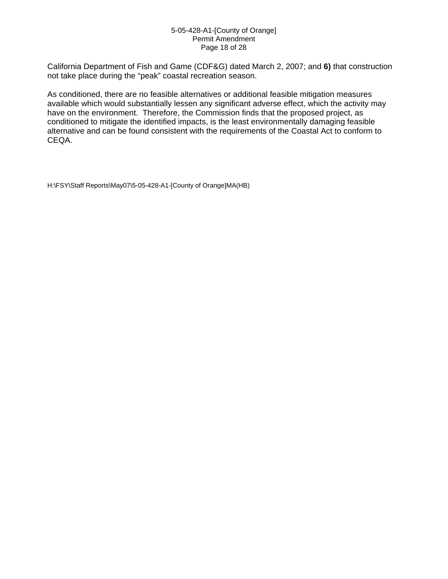#### 5-05-428-A1-[County of Orange] Permit Amendment Page 18 of 28

California Department of Fish and Game (CDF&G) dated March 2, 2007; and **6)** that construction not take place during the "peak" coastal recreation season.

As conditioned, there are no feasible alternatives or additional feasible mitigation measures available which would substantially lessen any significant adverse effect, which the activity may have on the environment. Therefore, the Commission finds that the proposed project, as conditioned to mitigate the identified impacts, is the least environmentally damaging feasible alternative and can be found consistent with the requirements of the Coastal Act to conform to CEQA.

H:\FSY\Staff Reports\May07\5-05-428-A1-[County of Orange]MA(HB)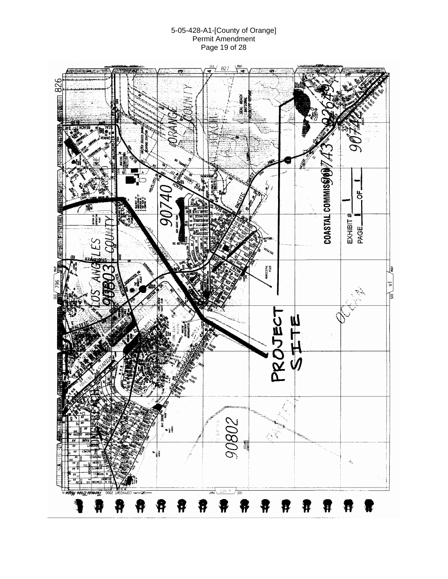### 5-05-428-A1-[County of Orange] Permit Amendment Page 19 of 28

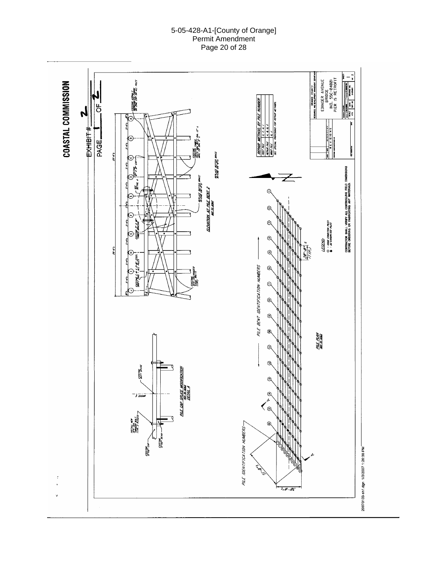### 5-05-428-A1-[County of Orange] Permit Amendment Page 20 of 28

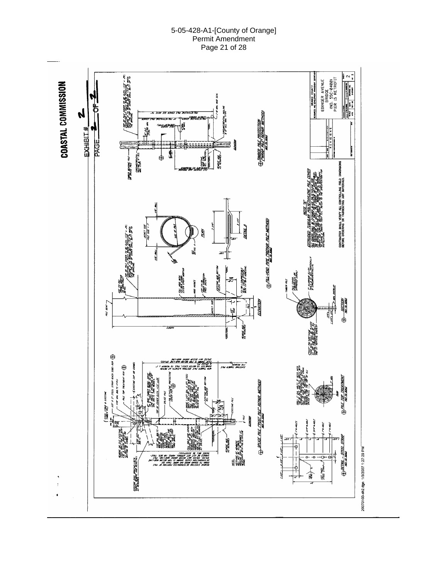#### 5-05-428-A1-[County of Orange] Permit Amendment Page 21 of 28

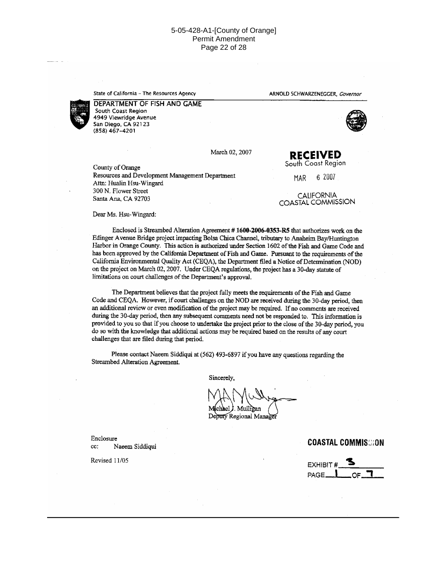#### 5-05-428-A1-[County of Orange] Permit Amendment Page 22 of 28

State of California - The Resources Agency

ARNOLD SCHWARZENEGGER, Governor



DEPARTMENT OF FISH AND GAME South Coast Region 4949 Viewridge Avenue San Diego, CA 92123 (858) 467-4201



County of Orange Resources and Development Management Department Attn: Hualin Hsu-Wingard 300 N. Flower Street Santa Ana, CA 92703

**MAR** 

6 2007

**RECEIVED** South Coast Region

**CALIFORNIA** COASTAL COMMISSION

Dear Ms. Hsu-Wingard:

Enclosed is Streambed Alteration Agreement #1600-2006-0353-R5 that authorizes work on the Edinger Avenue Bridge project impacting Bolsa Chica Channel, tributary to Anaheim Bay/Huntington Harbor in Orange County. This action is authorized under Section 1602 of the Fish and Game Code and has been approved by the California Department of Fish and Game. Pursuant to the requirements of the California Environmental Quality Act (CEQA), the Department filed a Notice of Determination (NOD) on the project on March 02, 2007. Under CEQA regulations, the project has a 30-day statute of limitations on court challenges of the Department's approval.

The Department believes that the project fully meets the requirements of the Fish and Game Code and CEQA. However, if court challenges on the NOD are received during the 30-day period, then an additional review or even modification of the project may be required. If no comments are received during the 30-day period, then any subsequent comments need not be responded to. This information is provided to you so that if you choose to undertake the project prior to the close of the 30-day period, you do so with the knowledge that additional actions may be required based on the results of any court challenges that are filed during that period.

Please contact Naeem Siddiqui at (562) 493-6897 if you have any questions regarding the Streambed Alteration Agreement.

Sincerely,

. Mullican Deputy Regional Manage

Enclosure  $cc$ : Naeem Siddiqui

Revised 11/05

**COASTAL COMMISGION** 

**EXHIBIT** PAGE.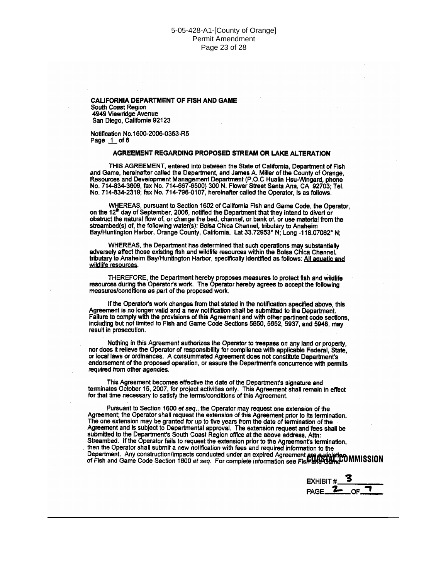CALIFORNIA DEPARTMENT OF FISH AND GAME South Coast Region 4949 Viewridge Avenue San Diego, California 92123

Notification No.1600-2006-0353-R5 Page  $1$  of  $6$ 

#### AGREEMENT REGARDING PROPOSED STREAM OR LAKE ALTERATION

THIS AGREEMENT, entered into between the State of California, Department of Fish<br>and Game, hereinafter called the Department, and James A. Miller of the County of Orange, Resources and Development Management Department (P.O.C Hualin Hsu-Wingard, phone No. 714-834-3609, fax No. 714-667-6500) 300 N. Flower Street Santa Ana, CA 92703; Tel.<br>No. 714-834-2319; fax No. 714-796-0107, hereinafter called the Operator, is as follows.

WHEREAS, pursuant to Section 1602 of California Fish and Game Code, the Operator. on the  $12^{\text{th}}$  day of September, 2006, notified the Department that they intend to divert or obstruct the natural flow of, or change the bed, channel, or bank of, or use material from the streambed(s) of, the following water(s): Bolsa Chica Channel, tributary to Anaheim Bay/Huntington Harbor, Orange County, California. Lat 33.72953° N; Long -118.07062° N;

WHEREAS, the Department has determined that such operations may substantially adversely affect those existing fish and wildlife resources within the Bolsa Chica Channel, tributary to Anaheim Bay/Huntington Harbor, specifically identified as follows: All aquatic and wildlife resources.

THEREFORE, the Department hereby proposes measures to protect fish and wildlife resources during the Operator's work. The Operator hereby agrees to accept the following measures/conditions as part of the proposed work.

If the Operator's work changes from that stated in the notification specified above, this Agreement is no longer valid and a new notification shall be submitted to the Department. Failure to comply with the provisions of this Agreement and with other pertinent code sections, including but not limited to Fish and Game Code Sections 5650, 5652, 5937, and 5948, may result in prosecution.

Nothing in this Agreement authorizes the Operator to trespass on any land or property. nor does it relieve the Operator of responsibility for compliance with applicable Federal, State, or local laws or ordinances. A consummated Agreement does not constitute Department's endorsement of the proposed operation, or assure the Department's concurrence with permits required from other agencies.

This Agreement becomes effective the date of the Department's signature and terminates October 15, 2007, for project activities only. This Agreement shall remain in effect for that time necessary to satisfy the terms/conditions of this Agreement.

Pursuant to Section 1600 et seq., the Operator may request one extension of the Agreement; the Operator shall request the extension of this Agreement prior to its termination. The one extension may be granted for up to five years from the date of termination of the *Characteristics*.<br>Agreement and is subject to Departmental approval. The extension request and fees shall be submitted to the Depar Streambed. If the Operator fails to request the extension prior to the Agreement's termination, then the Operator shall submit a new notification with fees and required information to the Department. Any construction/impacts conducted under an expired Agreement are aviolation<br>of Fish and Game Code Section 1600 *et seq.* For complete information see Fish and Came Code Section 1600 *et seq.* For complete info

**EXHIBIT#**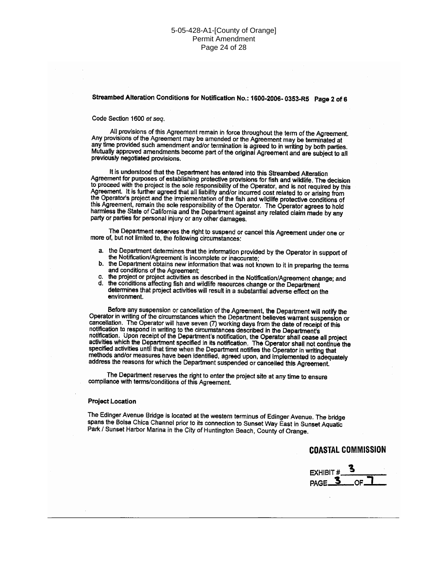### Streambed Alteration Conditions for Notification No.: 1600-2006-0353-R5 Page 2 of 6

Code Section 1600 et seq.

All provisions of this Agreement remain in force throughout the term of the Agreement. Any provisions of the Agreement may be amended or the Agreement may be terminated at any time provided such amendment and/or termination is agreed to in writing by both parties. Mutually approved amendments become part of the original Agreement and are subject to all previously negotiated provisions.

It is understood that the Department has entered into this Streambed Alteration Agreement for purposes of establishing protective provisions for fish and wildlife. The decision to proceed with the project is the sole responsibility of the Operator, and is not required by this Agreement. It is further agreed that all liability and/or incurred cost related to or arising from the Operator's project and the implementation of the fish and wildlife protective conditions of this Agreement, remain the sole responsibility of the Operator. The Operator agrees to hold harmless the State of California and the Department against any related claim made by any party or parties for personal injury or any other damages.

The Department reserves the right to suspend or cancel this Agreement under one or more of, but not limited to, the following circumstances:

- a. the Department determines that the information provided by the Operator in support of the Notification/Agreement is incomplete or inaccurate;
- b. the Department obtains new information that was not known to it in preparing the terms and conditions of the Agreement;
- the project or project activities as described in the Notification/Agreement change; and d. the conditions affecting fish and wildlife resources change or the Department
- determines that project activities will result in a substantial adverse effect on the environment.

Before any suspension or cancellation of the Agreement, the Department will notify the Operator in writing of the circumstances which the Department believes warrant suspension or<br>cancellation. The Operator will have seven (7) working days from the date of receipt of this Internation to respond in writing to the circumstances described in the Department's<br>notification. Upon receipt of the Department's notification, the Operator shall cease all project<br>activities which the Department specifi methods and/or measures have been identified, agreed upon, and implemented to adequately address the reasons for which the Department suspended or cancelled this Agreement.

The Department reserves the right to enter the project site at any time to ensure compliance with terms/conditions of this Agreement.

#### **Project Location**

The Edinger Avenue Bridge is located at the western terminus of Edinger Avenue. The bridge spans the Bolsa Chica Channel prior to its connection to Sunset Way East in Sunset Aquatic Park / Sunset Harbor Marina in the City of Huntington Beach, County of Orange.

#### **COASTAL COMMISSION**

EXHIBIT # PAGE<sub>3</sub>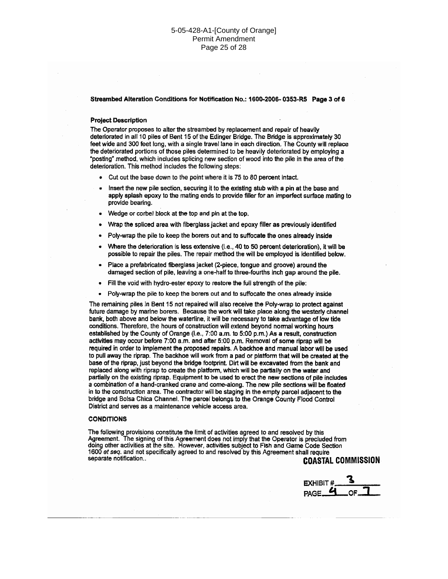Streambed Alteration Conditions for Notification No.: 1600-2006-0353-R5 Page 3 of 6

#### **Project Description**

The Operator proposes to alter the streambed by replacement and repair of heavily deteriorated in all 10 piles of Bent 15 of the Edinger Bridge. The Bridge is approximately 30 feet wide and 300 feet long, with a single travel lane in each direction. The County will replace the deteriorated portions of those piles determined to be heavily deteriorated by employing a "posting" method, which includes splicing new section of wood into the pile in the area of the deterioration. This method includes the following steps:

- Cut out the base down to the point where it is 75 to 80 percent intact.
- Insert the new pile section, securing it to the existing stub with a pin at the base and apply splash epoxy to the mating ends to provide filler for an imperfect surface mating to provide bearing.
- Wedge or corbel block at the top and pin at the top.
- Wrap the spliced area with fiberglass jacket and epoxy filler as previously identified
- Poly-wrap the pile to keep the borers out and to suffocate the ones already inside
- Where the deterioration is less extensive (i.e., 40 to 50 percent deterioration), it will be possible to repair the piles. The repair method the will be employed is identified below.
- Place a prefabricated fiberglass jacket (2-piece, tongue and groove) around the damaged section of pile, leaving a one-half to three-fourths inch gap around the pile.
- Fill the void with hydro-ester epoxy to restore the full strength of the pile:  $\bullet$
- Poly-wrap the pile to keep the borers out and to suffocate the ones already inside

The remaining piles in Bent 15 not repaired will also receive the Poly-wrap to protect against future damage by marine borers. Because the work will take place along the westerly channel bank, both above and below the waterline, it will be necessary to take advantage of low tide conditions. Therefore, the hours of construction will extend beyond normal working hours established by the County of Orange (i.e., 7:00 a.m. to 5:00 p.m.) As a result, construction activities may occur before 7:00 a.m. and after 5:00 p.m. Removal of some riprap will be required in order to implement the proposed repairs. A backhoe and manual labor will be used to pull away the riprap. The backhoe will work from a pad or platform that will be created at the base of the riprap, just beyond the bridge footprint. Dirt will be excavated from the bank and replaced along with riprap to create the platform, which will be partially on the water and partially on the existing riprap. Equipment to be used to erect the new sections of pile includes a combination of a hand-cranked crane and come-along. The new pile sections will be floated in to the construction area. The contractor will be staging in the empty parcel adjacent to the bridge and Bolsa Chica Channel. The parcel belongs to the Orange County Flood Control District and serves as a maintenance vehicle access area.

#### **CONDITIONS**

The following provisions constitute the limit of activities agreed to and resolved by this Agreement. The signing of this Agreement does not imply that the Operator is precluded from doing other activities at the site. However, activities subject to Fish and Game Code Section 1600 et seq. and not specifically agreed to and resolved by this Agreement shall require separate notification.. **COASTAL COMMISSION** 

**EXHIBIT** PAGE<sub>4</sub>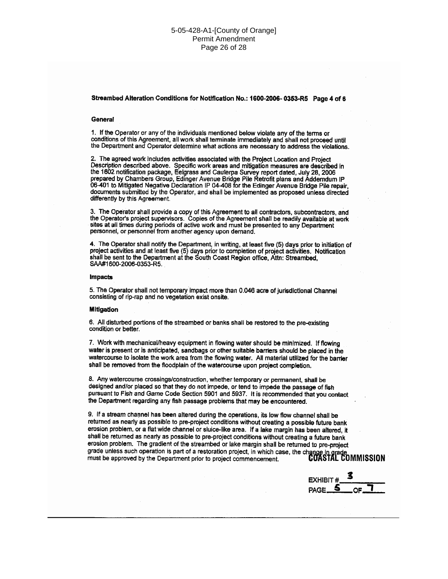#### Streambed Alteration Conditions for Notification No.: 1600-2006-0353-R5 Page 4 of 6

#### General

1. If the Operator or any of the individuals mentioned below violate any of the terms or conditions of this Agreement, all work shall terminate immediately and shall not proceed until the Department and Operator determine what actions are necessary to address the violations.

2. The agreed work includes activities associated with the Project Location and Project Description described above. Specific work areas and mitigation measures are described in the 1602 notification package, Eelgrass and Cauterpa Survey report dated, July 28, 2006 prepared by Chambers Group, Edinger Avenue Bridge Pile Retrofit plans and Addemdum IP 06-401 to Mitigated Negative Declaration IP 04-408 for the Edinger Avenue Bridge Pile repair. documents submitted by the Operator, and shall be implemented as proposed unless directed differently by this Agreement.

3. The Operator shall provide a copy of this Agreement to all contractors, subcontractors, and the Operator's project supervisors. Copies of the Agreement shall be readily available at work<br>sites at all times during periods of active work and must be presented to any Department personnel, or personnel from another agency upon demand.

4. The Operator shall notify the Department, in writing, at least five (5) days prior to initiation of project activities and at least five (5) days prior to completion of project activities. Notification shall be sent to the Department at the South Coast Region office, Attn: Streambed, SAA#1600-2006-0353-R5.

#### **Impacts**

5. The Operator shall not temporary impact more than 0.046 acre of jurisdictional Channel consisting of rip-rap and no vegetation exist onsite.

#### **Mitigation**

6. All disturbed portions of the streambed or banks shall be restored to the pre-existing condition or better.

7. Work with mechanical/heavy equipment in flowing water should be minimized. If flowing water is present or is anticipated, sandbags or other suitable barriers should be placed in the watercourse to isolate the work area from the flowing water. All material utilized for the barrier shall be removed from the floodplain of the watercourse upon project completion.

8. Any watercourse crossings/construction, whether temporary or permanent, shall be designed and/or placed so that they do not impede, or tend to impede the passage of fish pursuant to Fish and Game Code Section 5901 and 5937. It is recommended that you contact the Department regarding any fish passage problems that may be encountered.

9. If a stream channel has been altered during the operations, its low flow channel shall be returned as nearly as possible to pre-project conditions without creating a possible future bank erosion problem, or a flat wide channel or sluice-like area. If a lake margin has been altered, it shall be returned as nearly as possible to pre-project conditions without creating a future bank erosion problem. The gradient of the streambed or lake margin shall be returned to pre-project erosion problem. The gradient of the streambol of this margin shall case, the change in grade<br>grade unless such operation is part of a restoration project, in which case, the change in grade

**EXHIBIT#** PAGE\_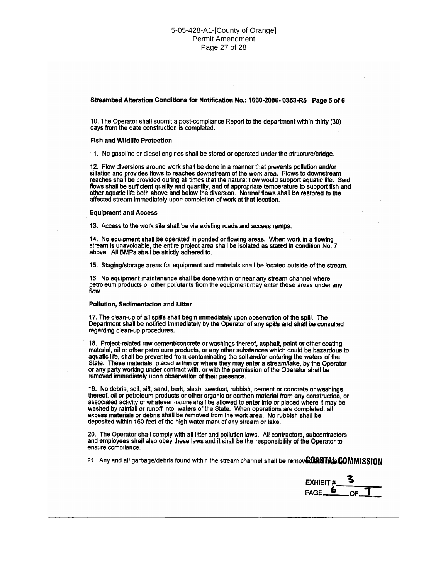#### Streambed Alteration Conditions for Notification No.: 1600-2006-0353-R5 Page 5 of 6

10. The Operator shall submit a post-compliance Report to the department within thirty (30) days from the date construction is completed.

#### **Fish and Wildlife Protection**

11. No gasoline or diesel engines shall be stored or operated under the structure/bridge.

12. Flow diversions around work shall be done in a manner that prevents pollution and/or siltation and provides flows to reaches downstream of the work area. Flows to downstream reaches shall be provided during all times that the natural flow would support aquatic life. Said flows shall be sufficient quality and quantity, and of appropriate temperature to support fish and other aquatic life both above and below the diversion. Normal flows shall be restored to the affected stream immediately upon completion of work at that location.

#### **Equipment and Access**

13. Access to the work site shall be via existing roads and access ramps.

14. No equipment shall be operated in ponded or flowing areas. When work in a flowing stream is unavoidable, the entire project area shall be isolated as stated in condition No. 7 above. All BMPs shall be strictly adhered to.

15. Staging/storage areas for equipment and materials shall be located outside of the stream.

16. No equipment maintenance shall be done within or near any stream channel where petroleum products or other pollutants from the equipment may enter these areas under any flow.

#### Pollution, Sedimentation and Litter

17. The clean-up of all spills shall begin immediately upon observation of the spill. The Department shall be notified immediately by the Operator of any spills and shall be consulted regarding clean-up procedures.

18. Project-related raw cement/concrete or washings thereof, asphalt, paint or other coating material, oil or other petroleum products, or any other substances which could be hazardous to aquatic life, shall be prevented from contaminating the soil and/or entering the waters of the State. These materials, placed within or where they may enter a stream/lake, by the Operator or any party working under contract with, or with the permission of the Operator shall be removed immediately upon observation of their presence.

19. No debris, soil, silt, sand, bark, slash, sawdust, rubbish, cement or concrete or washings thereof, oil or petroleum products or other organic or earthen material from any construction, or associated activity of whatever nature shall be allowed to enter into or placed where it may be washed by rainfall or runoff into, waters of the State. When operations are completed, all excess materials or debris shall be removed from the work area. No rubbish shall be deposited within 150 feet of the high water mark of any stream or lake.

20. The Operator shall comply with all litter and pollution laws. All contractors, subcontractors and employees shall also obey these laws and it shall be the responsibility of the Operator to ensure compliance.

21. Any and all garbage/debris found within the stream channel shall be removed DASTA LAGOMMISSION